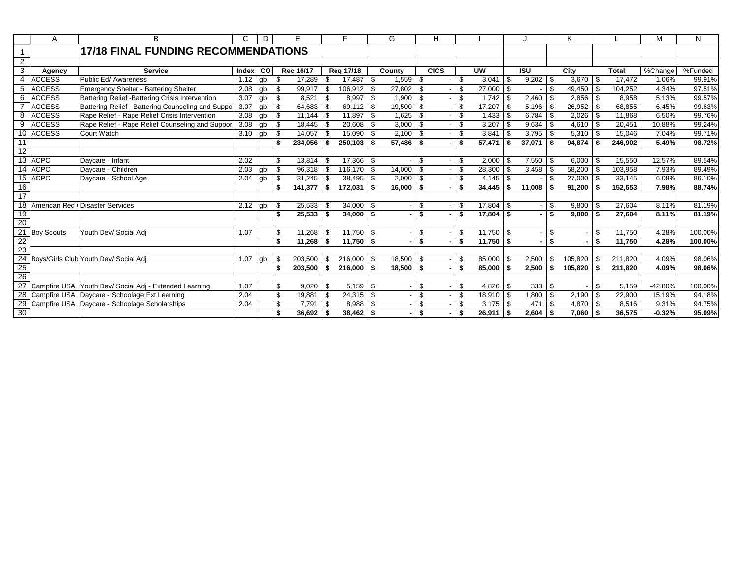|                          | A                 | R                                                      |            | D  | Е             |      | Е           |    | G      |      | н           |               |               |              |            |                | κ            |      |              | M         | N       |
|--------------------------|-------------------|--------------------------------------------------------|------------|----|---------------|------|-------------|----|--------|------|-------------|---------------|---------------|--------------|------------|----------------|--------------|------|--------------|-----------|---------|
|                          |                   | <b>17/18 FINAL FUNDING RECOMMENDATIONS</b>             |            |    |               |      |             |    |        |      |             |               |               |              |            |                |              |      |              |           |         |
| $\overline{2}$           |                   |                                                        |            |    |               |      |             |    |        |      |             |               |               |              |            |                |              |      |              |           |         |
| 3                        | Agency            | <b>Service</b>                                         | Index   CO |    | Rec 16/17     |      | Reg 17/18   |    | County |      | <b>CICS</b> |               | <b>UW</b>     |              | <b>ISU</b> |                | City         |      | <b>Total</b> | %Change   | %Funded |
| $\overline{\mathcal{A}}$ | <b>ACCESS</b>     | Public Ed/ Awareness                                   | 1.12       | gb | \$<br>17,289  | - \$ | 17,487      | \$ | 1,559  | l \$ |             | - \$          | 3,041         | $\mathsf{I}$ | 9,202      | -\$            | 3,670        | ∣\$  | 17,472       | 1.06%     | 99.91%  |
| 5                        | <b>ACCESS</b>     | <b>Emergency Shelter - Battering Shelter</b>           | 2.08       | qb | \$<br>99,917  | \$   | 106,912     | \$ | 27,802 | -\$  |             | \$            | $27,000$ \$   |              |            | $\mathfrak{L}$ | 49,450       | . \$ | 104,252      | 4.34%     | 97.51%  |
| 6                        | <b>ACCESS</b>     | Battering Relief - Battering Crisis Intervention       | 3.07       | gb | \$<br>8,521   | -\$  | 8,997       | \$ | 1,900  | - \$ |             | $\mathbf{\$}$ |               |              | 2,460      | \$             | 2,856        |      | 8,958        | 5.13%     | 99.57%  |
|                          | <b>ACCESS</b>     | Battering Relief - Battering Counseling and Suppo      | 3.07       | gb | \$<br>64,683  | -\$  | 69,112      | \$ | 19,500 | - \$ |             | - \$          | $17,207$ \$   |              | 5,196      | \$             | 26,952       | - \$ | 68,855       | 6.45%     | 99.63%  |
| 8                        | <b>ACCESS</b>     | Rape Relief - Rape Relief Crisis Intervention          | 3.08       | qb | \$<br>11.144  | -\$  | 11,897      | \$ | 1,625  | \$   |             | \$            |               |              | 6.784      | \$             | 2,026        | -\$  | 11.868       | 6.50%     | 99.76%  |
| 9                        | <b>ACCESS</b>     | Rape Relief - Rape Relief Counseling and Suppor        | 3.08       | gb | \$<br>18.445  |      | 20,608      | \$ | 3,000  | -\$  |             | \$.           | 3,207         | l \$         | 9,634      | \$             | 4,610        |      | 20,451       | 10.88%    | 99.24%  |
|                          | 10 ACCESS         | Court Watch                                            | 3.10       | gb | \$<br>14,057  | -\$  | 15,090      | \$ | 2.100  | - \$ |             | \$.           | $3,841$ \$    |              | 3.795      | \$             |              |      | 15,046       | 7.04%     | 99.71%  |
| 11                       |                   |                                                        |            |    | 234,056       | - \$ | 250.103     | Ŝ. | 57,486 | - \$ |             | - \$          | 57,471        | ∣\$          | 37,071     | \$             | 94.874       |      | 246.902      | 5.49%     | 98.72%  |
| 12                       |                   |                                                        |            |    |               |      |             |    |        |      |             |               |               |              |            |                |              |      |              |           |         |
|                          | 13 ACPC           | Davcare - Infant                                       | 2.02       |    | \$<br>13,814  | - \$ | 17,366      | \$ |        | \$   |             | \$.           | $2,000$ \ \$  |              | 7,550      | \$             | 6,000        |      | 15,550       | 12.57%    | 89.54%  |
|                          | 14 ACPC           | Davcare - Children                                     | 2.03       | gb | \$<br>96,318  | - \$ | 116,170     | \$ | 14,000 | - \$ |             | -\$           | $28,300$ \ \$ |              | 3,458      | \$             | 58,200       | -\$  | 103,958      | 7.93%     | 89.49%  |
|                          | 15 ACPC           | Daycare - School Age                                   | 2.04       | qb | \$<br>31,245  | -\$  | 38,495      | \$ | 2,000  | -\$  |             | \$            |               |              |            | \$             | 27.000       | -\$  | 33,145       | 6.08%     | 86.10%  |
| 16                       |                   |                                                        |            |    | \$<br>141,377 | - \$ | 172,031     | \$ | 16,000 | - \$ |             | - \$          | 34,445        | <b>S</b>     | 11,008     | \$             | 91,200       | - \$ | 152,653      | 7.98%     | 88.74%  |
| 17                       |                   |                                                        |            |    |               |      |             |    |        |      |             |               |               |              |            |                |              |      |              |           |         |
| 18                       |                   | American Red (Disaster Services                        | 2.12       | gb | \$<br>25,533  | - \$ | 34,000      | \$ |        | -\$  |             | . የ           | $17,804$ \ \$ |              |            | \$             | 9,800        |      | 27.604       | 8.11%     | 81.19%  |
| 19                       |                   |                                                        |            |    | \$<br>25.533  | -\$  | 34,000      | \$ |        | \$   |             | \$            | $17.804$ \$   |              |            | \$             | 9.800        | \$   | 27.604       | 8.11%     | 81.19%  |
| $\overline{20}$          |                   |                                                        |            |    |               |      |             |    |        |      |             |               |               |              |            |                |              |      |              |           |         |
| $\overline{21}$          | <b>Boy Scouts</b> | Youth Dev/ Social Adj                                  | 1.07       |    | \$<br>11,268  | - \$ | 11,750      | \$ |        | \$   |             | \$.           | $11,750$ \ \$ |              |            | \$             |              | \$.  | 11,750       | 4.28%     | 100.00% |
| 22                       |                   |                                                        |            |    | \$<br>11,268  | - \$ | 11,750      | \$ |        | \$   |             | \$            | $11,750$ \$   |              |            | \$             |              | - \$ | 11,750       | 4.28%     | 100.00% |
| $\frac{1}{23}$           |                   |                                                        |            |    |               |      |             |    |        |      |             |               |               |              |            |                |              |      |              |           |         |
|                          |                   | 24 Boys/Girls Club Youth Dev/ Social Adj               | 1.07       | gb | \$<br>203,500 | - \$ | 216.000     | \$ | 18.500 | - \$ |             | -\$           | 85.000 \$     |              | 2.500      | \$             | 105,820      |      | 211.820      | 4.09%     | 98.06%  |
| 25                       |                   |                                                        |            |    | \$<br>203,500 | \$   | 216,000     | \$ | 18,500 | \$   |             | - \$          | $85,000$ \$   |              | 2,500      | \$             | 105,820      |      | 211.820      | 4.09%     | 98.06%  |
| $\overline{26}$          |                   |                                                        |            |    |               |      |             |    |        |      |             |               |               |              |            |                |              |      |              |           |         |
| $\overline{27}$          |                   | Campfire USA Youth Dev/ Social Adj - Extended Learning | 1.07       |    | \$<br>9,020   | - \$ | 5,159       | \$ |        | \$   |             | \$            | $4,826$ \$    |              | 333        | -\$            |              | S    | 5,159        | $-42.80%$ | 100.00% |
| $\overline{28}$          |                   | Campfire USA Daycare - Schoolage Ext Learning          | 2.04       |    | \$<br>19,881  | \$   | 24,315      | \$ |        | \$   |             | -\$           | $18,910$ \$   |              | 1,800      | \$             | 2,190        | \$   | 22,900       | 15.19%    | 94.18%  |
|                          |                   | 29 Campfire USA Daycare - Schoolage Scholarships       | 2.04       |    | \$<br>7,791   | - \$ | 8,988       | \$ |        | \$   |             | \$            | $3,175$ \$    |              | 471        | \$             | $4,870$ \ \$ |      | 8,516        | 9.31%     | 94.75%  |
| $\frac{20}{30}$          |                   |                                                        |            |    | 36,692        | - \$ | $38,462$ \$ |    |        | \$   |             | -\$           | $26,911$ \$   |              | 2,604      | - \$           | 7,060        |      | 36,575       | $-0.32%$  | 95.09%  |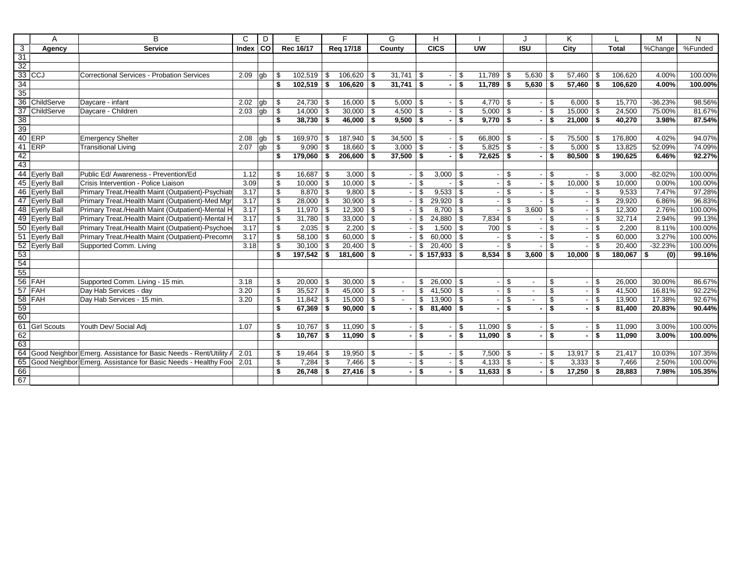|                 | Α                  | в                                                                   | C                     | D  |                | E.            |            | F             |     | G                        |          | Н               |      |                |                |                |               | Κ             |            |              | M         | N       |
|-----------------|--------------------|---------------------------------------------------------------------|-----------------------|----|----------------|---------------|------------|---------------|-----|--------------------------|----------|-----------------|------|----------------|----------------|----------------|---------------|---------------|------------|--------------|-----------|---------|
| $\overline{3}$  | Agency             | <b>Service</b>                                                      | Index $\overline{CO}$ |    |                | Rec 16/17     |            | Reg 17/18     |     | County                   |          | <b>CICS</b>     |      | <b>UW</b>      |                | <b>ISU</b>     |               | City          |            | <b>Total</b> | %Change   | %Funded |
| $\overline{31}$ |                    |                                                                     |                       |    |                |               |            |               |     |                          |          |                 |      |                |                |                |               |               |            |              |           |         |
| 32              |                    |                                                                     |                       |    |                |               |            |               |     |                          |          |                 |      |                |                |                |               |               |            |              |           |         |
|                 | $33$ CCJ           | Correctional Services - Probation Services                          | 2.09                  | gb | \$             | $102,519$ \$  |            | 106,620       | \$  | 31,741                   | \$       |                 | \$   | $11,789$ \$    |                | 5,630          | \$            | $57,460$ \ \$ |            | 106,620      | 4.00%     | 100.00% |
| 34              |                    |                                                                     |                       |    | \$             | $102,519$ \$  |            | 106,620       | -\$ | 31,741                   | -\$      |                 | \$   | $11,789$ \$    |                | 5,630          | \$            | 57,460        | - \$       | 106,620      | 4.00%     | 100.00% |
| 35              |                    |                                                                     |                       |    |                |               |            |               |     |                          |          |                 |      |                |                |                |               |               |            |              |           |         |
|                 | 36 ChildServe      | Daycare - infant                                                    | 2.02                  | gb | \$             | $24,730$ \$   |            | 16,000        | -\$ | 5,000                    | <b>S</b> |                 | \$   | $4,770$ \$     |                |                | \$            | 6,000         | $1\bar{3}$ | 15,770       | $-36.23%$ | 98.56%  |
| 37              | ChildServe         | Daycare - Children                                                  | 2.03                  | gb | $\mathfrak{S}$ | $14,000$ \ \$ |            | $30,000$ \ \$ |     | 4,500                    | l \$     |                 | \$   | $5,000$ \$     |                |                | $\mathfrak s$ | $15,000$ \ \$ |            | 24,500       | 75.00%    | 81.67%  |
| $\frac{38}{39}$ |                    |                                                                     |                       |    | \$             | $38,730$ \$   |            | $46,000$ \$   |     | $9.500$ \ \$             |          |                 | \$   | $9,770$ \$     |                | ٠              | \$            | $21,000$ \ \$ |            | 40.270       | 3.98%     | 87.54%  |
|                 |                    |                                                                     |                       |    |                |               |            |               |     |                          |          |                 |      |                |                |                |               |               |            |              |           |         |
|                 | 40 ERP             | <b>Emergency Shelter</b>                                            | 2.08                  | qb | \$             | 169,970 \\$   |            | 187,940       | \$  | 34,500                   | l \$     |                 | \$   | 66,800 \$      |                |                | \$            | 75,500        | \$         | 176,800      | 4.02%     | 94.07%  |
| 41              | ERP                | <b>Transitional Living</b>                                          | 2.07                  | gb | \$             | 9,090         | l \$       | 18.660        | \$  | 3.000                    | <b>S</b> |                 | \$   | $5,825$ \$     |                |                | \$            | 5,000         | \$         | 13.825       | 52.09%    | 74.09%  |
| 42              |                    |                                                                     |                       |    | \$             | 179,060       | $\vert$ \$ | 206,600       | \$  | 37,500                   | <b>S</b> |                 | \$   | $72,625$ \$    |                |                | \$            | 80,500        | \$         | 190,625      | 6.46%     | 92.27%  |
| 43              |                    |                                                                     |                       |    |                |               |            |               |     |                          |          |                 |      |                |                |                |               |               |            |              |           |         |
|                 | 44 Eyerly Ball     | Public Ed/ Awareness - Prevention/Ed                                | 1.12                  |    | \$             | 16,687        | $\vert$ \$ | 3,000         | \$  |                          | \$       | 3,000           | - \$ |                | \$             |                | \$            |               | \$         | 3,000        | $-82.02%$ | 100.00% |
|                 | 45 Eyerly Ball     | Crisis Intervention - Police Liaison                                | 3.09                  |    | \$             | 10,000        | $\vert$ \$ | 10,000        | \$  |                          | \$       |                 | \$.  |                | \$             |                | \$            | 10,000        | \$         | 10,000       | 0.00%     | 100.00% |
|                 | 46 Eyerly Ball     | Primary Treat./Health Maint (Outpatient)-Psychiatr                  | 3.17                  |    | \$             | $8,870$ \$    |            | 9,800         | \$  |                          | \$.      | 9,533           | \$   |                | \$             |                | \$            |               | \$         | 9,533        | 7.47%     | 97.28%  |
|                 | 47 Eyerly Ball     | Primary Treat./Health Maint (Outpatient)-Med Mgn                    | 3.17                  |    | $\sqrt[6]{3}$  | $28,000$ \$   |            | 30,900        | \$  |                          | \$       | 29,920          | \$   |                | $\mathfrak{S}$ |                | \$            |               | \$         | 29,920       | 6.86%     | 96.83%  |
|                 | 48 Eyerly Ball     | Primary Treat./Health Maint (Outpatient)-Mental H                   | 3.17                  |    | $\mathfrak s$  | $11,970$ \ \$ |            | 12,300        | \$  |                          | \$       | 8,700           | -\$  | $\blacksquare$ | \$             | 3,600          | \$            |               | \$         | 12,300       | 2.76%     | 100.00% |
|                 | 49 Eyerly Ball     | Primary Treat./Health Maint (Outpatient)-Mental H                   | 3.17                  |    | \$             | $31,780$ \$   |            | 33,000        | \$  |                          | \$       | 24,880          | - \$ | $7,834$ \$     |                |                | \$            |               | \$         | 32,714       | 2.94%     | 99.13%  |
|                 | 50 Eyerly Ball     | Primary Treat./Health Maint (Outpatient)-Psychoed                   | 3.17                  |    | \$             | 2,035         | $\vert$ \$ | 2,200         | \$  |                          | -S       | 1,500           | -\$  | 700 \$         |                |                | \$            |               | \$         | 2,200        | 8.11%     | 100.00% |
|                 | 51 Eyerly Ball     | Primary Treat./Health Maint (Outpatient)-Precomm                    | 3.17                  |    | \$             | $58,100$ \ \$ |            | 60,000        | \$  |                          | \$       | 60,000          | \$   |                | \$             |                | \$            |               | \$         | 60,000       | 3.27%     | 100.00% |
|                 | 52 Eyerly Ball     | Supported Comm. Living                                              | 3.18                  |    | \$             | $30,100$ \$   |            | 20,400        | \$  |                          | \$       | 20,400          | - \$ |                | \$             |                | \$            |               | \$         | 20,400       | $-32.23%$ | 100.00% |
| 53              |                    |                                                                     |                       |    | \$             | $197,542$ \$  |            | 181,600       | \$  |                          |          | $$157,933$ \ \$ |      | $8.534$ \ \$   |                | 3,600          | \$            | 10,000        | \$         | 180,067 \$   | (0)       | 99.16%  |
| 54              |                    |                                                                     |                       |    |                |               |            |               |     |                          |          |                 |      |                |                |                |               |               |            |              |           |         |
| 55              |                    |                                                                     |                       |    |                |               |            |               |     |                          |          |                 |      |                |                |                |               |               |            |              |           |         |
|                 | 56 FAH             | Supported Comm. Living - 15 min.                                    | 3.18                  |    | \$             | 20,000        | $\vert$ \$ | 30,000        | \$  |                          | \$       | 26,000          | \$   |                | \$             | $\blacksquare$ | \$            |               | \$         | 26,000       | 30.00%    | 86.67%  |
|                 | 57 FAH             | Day Hab Services - day                                              | 3.20                  |    | \$             | 35,527        | $\vert$ \$ | 45,000        | \$  | $\overline{\phantom{a}}$ | \$       | 41,500          | \$   |                | \$             | $\blacksquare$ | \$            |               | \$         | 41,500       | 16.81%    | 92.22%  |
|                 | $58$ FAH           | Day Hab Services - 15 min.                                          | 3.20                  |    | \$             | $11,842$ \ \$ |            | 15,000        | \$  | $\sim$                   | \$       | $13,900$ \ \$   |      |                | \$             | $\blacksquare$ | \$            |               | \$         | 13,900       | 17.38%    | 92.67%  |
| 59              |                    |                                                                     |                       |    | \$             | $67,369$ \$   |            | $90,000$ \$   |     |                          | \$       | $81.400$ \ \$   |      | $\blacksquare$ | - \$           |                | \$            |               | \$         | 81.400       | 20.83%    | 90.44%  |
| 60              |                    |                                                                     |                       |    |                |               |            |               |     |                          |          |                 |      |                |                |                |               |               |            |              |           |         |
| 61              | <b>Girl Scouts</b> | Youth Dev/ Social Adi                                               | 1.07                  |    | \$             | 10.767        | l \$       | 11,090        | \$  |                          | \$       |                 | \$   | $11,090$ \ \$  |                |                | \$            |               | \$         | 11,090       | 3.00%     | 100.00% |
| 62              |                    |                                                                     |                       |    | \$             | $10,767$ \$   |            | 11,090        | \$  |                          | \$       |                 | \$   | $11,090$ \$    |                |                | \$            |               | \$         | 11,090       | 3.00%     | 100.00% |
| $\overline{63}$ |                    |                                                                     |                       |    |                |               |            |               |     |                          |          |                 |      |                |                |                |               |               |            |              |           |         |
|                 |                    | 64 Good Neighbor Emerg. Assistance for Basic Needs - Rent/Utility A | 2.01                  |    | \$             | $19,464$ \ \$ |            | 19,950        | -\$ |                          | \$       |                 | \$   | $7,500$ \ \$   |                |                | \$            | $13,917$ \$   |            | 21,417       | 10.03%    | 107.35% |
|                 |                    | 65 Good Neighbor Emerg. Assistance for Basic Needs - Healthy Foo    | 2.01                  |    | \$             | 7,284         | l \$       | 7,466         | \$  |                          | \$       |                 | \$   |                |                |                | \$            | 3,333         | l \$       | 7,466        | 2.50%     | 100.00% |
| $\frac{66}{67}$ |                    |                                                                     |                       |    | \$             | $26,748$ \$   |            | $27,416$ \$   |     |                          | \$       |                 | \$   | $11,633$ \$    |                |                | \$            | 17,250        | \$         | 28,883       | 7.98%     | 105.35% |
|                 |                    |                                                                     |                       |    |                |               |            |               |     |                          |          |                 |      |                |                |                |               |               |            |              |           |         |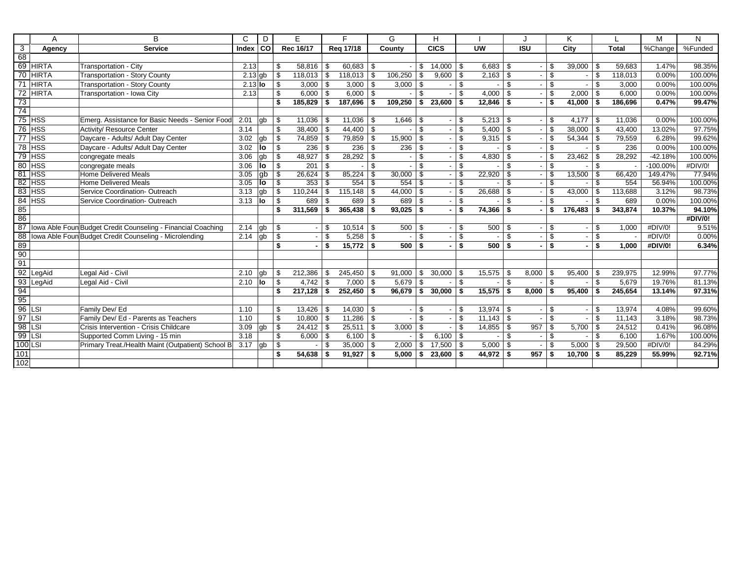|                         | A            | B.                                                           | $\mathsf{C}$ | D   |              | E         |      | E.            |      | G       |                    | н            |      |                          |      |                          |                         | Κ       |      |         | M           | N       |
|-------------------------|--------------|--------------------------------------------------------------|--------------|-----|--------------|-----------|------|---------------|------|---------|--------------------|--------------|------|--------------------------|------|--------------------------|-------------------------|---------|------|---------|-------------|---------|
| $\overline{\mathbf{3}}$ | Agency       | <b>Service</b>                                               | Index        | col |              | Rec 16/17 |      | Reg 17/18     |      | County  |                    | CICS         |      | $\overline{\mathsf{uw}}$ |      | $\overline{ISU}$         |                         | City    |      | Total   | %Change     | %Funded |
| 68                      |              |                                                              |              |     |              |           |      |               |      |         |                    |              |      |                          |      |                          |                         |         |      |         |             |         |
|                         | 69 HIRTA     | Transportation - City                                        | 2.13         |     | \$           | 58,816    | - \$ | 60,683        | -\$  |         | \$                 | 14,000       | l \$ | $6,683$ \$               |      |                          | \$                      | 39,000  | \$.  | 59.683  | 1.47%       | 98.35%  |
|                         | 70 HIRTA     | <b>Transportation - Story County</b>                         | $2.13$ gb    |     | \$           | 118,013   | l \$ | 118,013       | \$   | 106,250 | -\$                | $9,600$ \ \$ |      |                          |      |                          | \$                      |         | \$   | 118,013 | 0.00%       | 100.00% |
| $\overline{71}$         | <b>HIRTA</b> | Transportation - Story County                                | $2.13$ lo    |     | \$           | 3,000     | - \$ | 3,000         | \$   | 3,000   | l \$               |              | \$   |                          | -\$  |                          | $\mathfrak{L}$          |         | \$   | 3,000   | 0.00%       | 100.00% |
| $\overline{72}$         | <b>HIRTA</b> | Transportation - Iowa City                                   | 2.13         |     | \$           | 6,000     | -\$  | 6.000         | \$   |         | $\mathbf{\hat{f}}$ |              | \$   | 4,000 $\frac{1}{3}$      |      |                          | $\mathfrak{S}$          | 2,000   | \$   | 6.000   | 0.00%       | 100.00% |
| 73                      |              |                                                              |              |     | \$           | 185.829   | \$   | 187,696       | \$   | 109,250 | - \$               | $23,600$ \$  |      | $12.846$ \$              |      |                          | $\overline{\mathbf{s}}$ | 41.000  | \$   | 186.696 | 0.47%       | 99.47%  |
| $\overline{74}$         |              |                                                              |              |     |              |           |      |               |      |         |                    |              |      |                          |      |                          |                         |         |      |         |             |         |
|                         | $75$ HSS     | Emerg. Assistance for Basic Needs - Senior Food              | 2.01         | lab | \$           | 11,036    | - \$ | 11,036        | - \$ | 1,646   | l \$               |              | \$   | $5,213$ \$               |      |                          | \$                      | 4,177   | - \$ | 11,036  | 0.00%       | 100.00% |
| 76                      | <b>THSS</b>  | Activity/ Resource Center                                    | 3.14         |     | \$           | 38.400    | - \$ | 44,400        | \$   |         | $\mathfrak{L}$     |              | \$   | $5,400$ \ \$             |      |                          | \$                      | 38.000  | \$   | 43.400  | 13.02%      | 97.75%  |
| $\overline{77}$         | <b>HSS</b>   | Daycare - Adults/ Adult Day Center                           | 3.02         | gb  | \$           | 74,859    | - \$ | 79,859        | \$   | 15,900  | -\$                |              | \$.  | $9,315$ \$               |      |                          | $\mathfrak{S}$          | 54,344  | \$   | 79,559  | 6.28%       | 99.62%  |
| 78                      | <b>HSS</b>   | Daycare - Adults/ Adult Day Center                           | 3.02         | lo  | \$           | 236       | - \$ | 236           | \$   | 236     | -\$                |              | \$   |                          | \$   |                          | $\mathfrak{S}$          |         | \$.  | 236     | 0.00%       | 100.00% |
|                         | $79$ HSS     | congregate meals                                             | 3.06         | gb  | \$           | 48,927    | - \$ | 28,292        | \$   |         | \$                 |              | \$   | $4,830$ \ \$             |      |                          | \$                      | 23,462  | \$   | 28,292  | $-42.18%$   | 100.00% |
|                         | $80$ HSS     | congregate meals                                             | 3.06         | lo  | \$           | 201       | -\$  |               | \$   |         | \$                 |              | \$   |                          | \$   |                          | $\mathfrak{S}$          |         | \$   |         | $-100.00\%$ | #DIV/0! |
| 81                      | <b>HSS</b>   | Home Delivered Meals                                         | 3.05         | lab | \$           | 26,624    | - \$ | 85,224        | \$   | 30,000  | - \$               |              | \$.  | $22,920$ \ \$            |      |                          | \$                      | 13,500  | \$   | 66,420  | 149.47%     | 77.94%  |
| 82                      | <b>HSS</b>   | Home Delivered Meals                                         | 3.05         | lo  | \$           | 353       | - \$ | 554           | \$   | 554     | - \$               |              | \$.  |                          | \$.  | $\overline{\phantom{a}}$ | \$                      |         | \$.  | 554     | 56.94%      | 100.00% |
| 83                      | <b>HSS</b>   | Service Coordination- Outreach                               | 3.13         | qb  | \$           | 110,244   | \$   | 115,148       | \$   | 44,000  | \$                 |              | \$   | $26,688$ \ \$            |      |                          | \$                      | 43,000  | \$   | 113,688 | 3.12%       | 98.73%  |
| 84                      | <b>HSS</b>   | Service Coordination- Outreach                               | 3.13         | llo | \$           | 689       | -\$  | 689           | \$   | 689     | - \$               |              | \$   |                          | \$   |                          | $\mathfrak{L}$          |         | \$.  | 689     | 0.00%       | 100.00% |
| 85                      |              |                                                              |              |     | \$           | 311,569   | - \$ | 365,438       | \$   | 93,025  | -\$                |              | \$   | $74,366$ \$              |      |                          | \$                      | 176,483 | \$   | 343,874 | 10.37%      | 94.10%  |
| 86                      |              |                                                              |              |     |              |           |      |               |      |         |                    |              |      |                          |      |                          |                         |         |      |         |             | #DIV/0! |
| 87                      |              | Iowa Able Foun Budget Credit Counseling - Financial Coaching | 2.14         | qb  | \$           |           | \$   | 10,514        | \$   | 500     | l \$               |              | \$   | 500 \$                   |      |                          | \$                      |         | \$   | 1.000   | #DIV/0!     | 9.51%   |
| 88                      |              | Iowa Able Foun Budget Credit Counseling - Microlending       | 2.14         | gb  | \$           |           | \$   | 5,258         | \$   |         | \$                 |              | \$   |                          | \$   |                          | \$                      |         | \$   |         | #DIV/0!     | 0.00%   |
| 89                      |              |                                                              |              |     | \$           |           | \$   | 15,772        | \$   | 500     | <b>S</b>           |              | \$   | $500$ \$                 |      |                          | \$                      |         | \$   | 1.000   | #DIV/0!     | 6.34%   |
| 90                      |              |                                                              |              |     |              |           |      |               |      |         |                    |              |      |                          |      |                          |                         |         |      |         |             |         |
| 91                      |              |                                                              |              |     |              |           |      |               |      |         |                    |              |      |                          |      |                          |                         |         |      |         |             |         |
| 92                      | LegAid       | Legal Aid - Civil                                            | 2.10         | qb  | \$           | 212.386   | \$   | 245.450       | \$   | 91.000  | \$                 | 30,000       | - \$ | $15,575$ \\$             |      | 8.000                    | \$                      | 95,400  | \$   | 239.975 | 12.99%      | 97.77%  |
| 93                      | LegAid       | Legal Aid - Civil                                            | 2.10         | llo | \$           | 4,742     | - \$ | 7,000         | \$   | 5,679   | - \$               |              | \$   |                          | \$   |                          | $\mathfrak{L}$          |         | \$   | 5,679   | 19.76%      | 81.13%  |
| 94                      |              |                                                              |              |     | \$           | 217,128   | - \$ | 252,450       | \$   | 96.679  | l \$               | $30,000$ \$  |      | $15,575$ \$              |      | 8.000                    | \$                      | 95.400  | \$   | 245.654 | 13.14%      | 97.31%  |
| 95                      |              |                                                              |              |     |              |           |      |               |      |         |                    |              |      |                          |      |                          |                         |         |      |         |             |         |
| 96                      | LSI          | Family Dev/ Ed                                               | 1.10         |     | \$           | 13,426    | - \$ | $14,030$ \ \$ |      |         | -S                 |              | \$.  | $13,974$ \ \$            |      |                          | \$                      |         | \$.  | 13,974  | 4.08%       | 99.60%  |
| 97                      | LSI          | Family Dev/ Ed - Parents as Teachers                         | 1.10         |     | \$           | 10,800    | -\$  | 11,286        | -\$  |         | -S                 |              | \$.  |                          |      |                          | \$                      |         | \$   | 11.143  | 3.18%       | 98.73%  |
| 98                      | <b>LSI</b>   | Crisis Intervention - Crisis Childcare                       | $3.09$ gb    |     | \$           | 24,412    | l \$ | 25,511        | \$   | 3,000   | \$                 |              | \$   | $14,855$ \ \$            |      | 957                      | \$                      | 5,700   | \$   | 24,512  | 0.41%       | 96.08%  |
| 99                      | LSI          | Supported Comm Living - 15 min                               | 3.18         |     | $\mathbb{S}$ | 6,000     | l \$ | $6,100$ \ \$  |      |         | \$                 | $6,100$ \ \$ |      |                          | l \$ |                          | $\mathfrak{S}$          |         | \$.  | 6,100   | 1.67%       | 100.00% |
| 100 LSI                 |              | Primary Treat./Health Maint (Outpatient) School B            | 3.17         | qb  | \$           |           | -S   | 35,000        | \$   | 2,000   | -\$                | 17,500       | - \$ | $5,000$ \$               |      |                          | \$                      | 5,000   | \$   | 29,500  | #DIV/0!     | 84.29%  |
| 101                     |              |                                                              |              |     | \$           | 54,638    | - \$ | 91,927        | \$   | 5.000   | - \$               | 23,600       | - \$ | $44,972$ \$              |      | 957                      | \$                      | 10,700  | \$   | 85.229  | 55.99%      | 92.71%  |
| 102                     |              |                                                              |              |     |              |           |      |               |      |         |                    |              |      |                          |      |                          |                         |         |      |         |             |         |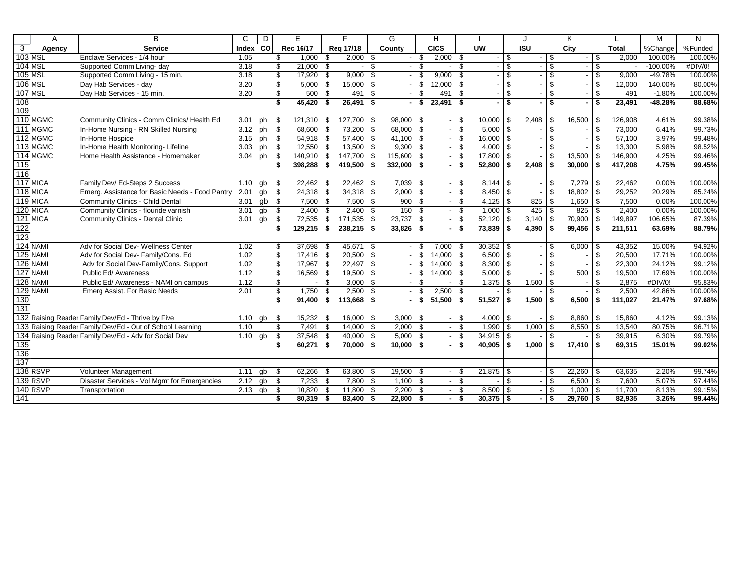|                | A              | B                                                         | $\mathsf{C}$ | D           |                         | E             |            | F                  |                         | G             |            | н             |            |                          |     |                   |                         | Κ           |      |              | M           | N       |
|----------------|----------------|-----------------------------------------------------------|--------------|-------------|-------------------------|---------------|------------|--------------------|-------------------------|---------------|------------|---------------|------------|--------------------------|-----|-------------------|-------------------------|-------------|------|--------------|-------------|---------|
| $\overline{3}$ | Agency         | <b>Service</b>                                            | Index CO     |             |                         | Rec 16/17     |            | Reg 17/18          |                         | County        |            | CICS          |            | $\overline{\mathsf{uw}}$ |     | $\overline{1}$ SU |                         | <b>City</b> |      | <b>Total</b> | %Change     | %Funded |
|                | 103 MSL        | Enclave Services - 1/4 hour                               | 1.05         |             | \$                      | 1,000         | -\$        | $2,000$ \ \$       |                         |               | \$         | $2,000$ \ \$  |            | $\sim$                   | -\$ |                   | \$                      |             | \$   | 2,000        | 100.00%     | 100.00% |
|                | <b>104 MSL</b> | Supported Comm Living- day                                | 3.18         |             | \$                      | 21,000        | \$         |                    | \$                      |               | \$         |               | \$         |                          | \$  |                   | \$                      |             | \$   |              | $-100.00\%$ | #DIV/0! |
|                | 105 MSL        | Supported Comm Living - 15 min.                           | 3.18         |             | $\overline{\mathbb{S}}$ | 17,920        | \$         | $9,000$ \ \$       |                         |               | \$         | $9,000$ \ \$  |            | ۰.                       | \$  |                   | $\mathsf{s}$            |             | \$   | 9,000        | $-49.78%$   | 100.00% |
|                | <b>106 MSL</b> | Day Hab Services - day                                    | 3.20         |             | \$                      | 5,000         | \$         | 15,000             | \$                      |               | \$         | 12,000        | l \$       |                          | \$  |                   | $\mathsf{\$}$           |             | \$   | 12,000       | 140.00%     | 80.00%  |
|                | 107 MSL        | Day Hab Services - 15 min.                                | 3.20         |             | \$                      | 500           | \$         | 491                | \$                      |               | \$         | 491           | <b>S</b>   |                          | \$  |                   | \$                      |             | \$   | 491          | $-1.80%$    | 100.00% |
| 108            |                |                                                           |              |             | \$                      | 45,420        | -\$        | 26,491             | \$                      |               | \$         | $23,491$ \$   |            | $\sim$                   | \$  |                   | $\overline{\mathbf{s}}$ |             | \$   | 23,491       | $-48.28%$   | 88.68%  |
| 109            |                |                                                           |              |             |                         |               |            |                    |                         |               |            |               |            |                          |     |                   |                         |             |      |              |             |         |
|                | 110 MGMC       | Community Clinics - Comm Clinics/ Health Ed               | 3.01         | ph          | \$                      | 121,310       | - \$       | $127,700$ \\$      |                         | 98,000        | \$         |               | -\$        | $10,000$ \$              |     | 2,408             | \$                      | 16,500      | \$   | 126,908      | 4.61%       | 99.38%  |
|                | 111 MGMC       | In-Home Nursing - RN Skilled Nursing                      | 3.12         | ph          | \$                      | 68.600        | l \$       | $73,200$ \ \$      |                         | $68,000$   \$ |            |               | - \$       |                          |     |                   | \$                      |             | \$   | 73.000       | 6.41%       | 99.73%  |
|                | 112 MGMC       | In-Home Hospice                                           | 3.15         | ph          | \$                      | 54,918        | \$         | $57,400$ \\$       |                         | 41,100        | \$         |               | \$         | $16,000$ \$              |     |                   | \$                      |             | \$   | 57,100       | 3.97%       | 99.48%  |
|                | 113 MGMC       | In-Home Health Monitoring- Lifeline                       | 3.03         | ph          | \$                      | $12,550$ \$   |            | $13,500$ \ \$      |                         | 9,300         | l \$       |               | - \$       | $4,000$ \$               |     |                   | \$                      |             | \$   | 13,300       | 5.98%       | 98.52%  |
|                | 114 MGMC       | Home Health Assistance - Homemaker                        | 3.04         | <b>l</b> ph | \$                      | $140,910$ \$  |            | $147,700$ \\$      |                         | 115,600       | $\vert$ \$ |               | -\$        | 17,800 \$                |     |                   | \$                      | 13,500      | \$   | 146,900      | 4.25%       | 99.46%  |
| 115            |                |                                                           |              |             | \$                      | 398,288       | - \$       | 419,500 $\vert$ \$ |                         | 332,000       | - \$       |               | \$         | $52,800$ \$              |     | 2,408             | \$                      | 30,000      | \$   | 417,208      | 4.75%       | 99.45%  |
| 116            |                |                                                           |              |             |                         |               |            |                    |                         |               |            |               |            |                          |     |                   |                         |             |      |              |             |         |
|                | 117 MICA       | Family Dev/ Ed-Steps 2 Success                            | 1.10         | gb          | \$                      | 22,462        | -\$        | $22,462$ \ \$      |                         | $7,039$ \ \$  |            |               | -\$        | $8,144$ \ \$             |     |                   | \$                      | 7,279       | \$   | 22,462       | 0.00%       | 100.00% |
|                | 118 MICA       | Emerg. Assistance for Basic Needs - Food Pantry           | 2.01         | gb          | \$                      | $24,318$ \$   |            | $34,318$ \$        |                         | 2,000         | \$         |               | \$         | $8,450$ \ \$             |     |                   | \$                      | 18,802      | \$   | 29,252       | 20.29%      | 85.24%  |
|                | 119 MICA       | Community Clinics - Child Dental                          | 3.01         | gb          | \$                      | 7,500         | $\sqrt{ }$ | $7,500$ \$         |                         | 900           | \$         |               | \$         | $4,125$ \$               |     | 825               | $\$$                    | 1,650       | \$   | 7,500        | 0.00%       | 100.00% |
|                | 120 MICA       | Community Clinics - flouride varnish                      | 3.01         | gb          | \$                      | 2,400         | \$         | $2,400$ \ \$       |                         | 150           | -\$        |               | \$         | $1,000$ \$               |     | 425               | \$                      | 825         | \$   | 2,400        | 0.00%       | 100.00% |
|                | 121 MICA       | Community Clinics - Dental Clinic                         | 3.01         | gb          | \$                      | 72,535        | $\sqrt{3}$ | $171,535$ \\$      |                         | 23,737        | -\$        |               | \$         | $52,120$ \$              |     | 3,140             | \$                      | 70,900      | \$   | 149,897      | 106.65%     | 87.39%  |
| 122            |                |                                                           |              |             | \$                      | 129,215       | - \$       | $238,215$ \$       |                         | 33,826        | ∣\$        |               | - \$       | $73,839$ \$              |     | 4.390             | \$                      | 99,456      | \$   | 211,511      | 63.69%      | 88.79%  |
| 123            |                |                                                           |              |             |                         |               |            |                    |                         |               |            |               |            |                          |     |                   |                         |             |      |              |             |         |
|                | 124 NAMI       | Adv for Social Dev- Wellness Center                       | 1.02         |             | \$                      | 37,698        | l \$       | $45,671$ \\$       |                         |               | \$         | $7,000$ \ \$  |            | $30,352$ \$              |     |                   | \$                      | 6,000       | -\$  | 43,352       | 15.00%      | 94.92%  |
|                | 125 NAMI       | Adv for Social Dev- Family/Cons. Ed                       | 1.02         |             | \$                      | $17,416$ \ \$ |            | 20,500             | $\sqrt[6]{\frac{1}{2}}$ |               | \$         | $14,000$ \ \$ |            | $6,500$ \$               |     |                   | $\mathfrak s$           |             | \$   | 20,500       | 17.71%      | 100.00% |
|                | 126 NAMI       | Adv for Social Dev-Family/Cons. Support                   | 1.02         |             | \$                      | 17,967        | \$         | 22,497             | \$                      |               | \$         | $14,000$ \ \$ |            | $8,300$ \$               |     |                   | \$                      |             | \$   | 22,300       | 24.12%      | 99.12%  |
|                | 127 NAMI       | Public Ed/ Awareness                                      | 1.12         |             | \$                      | 16,569 \$     |            | $19,500$ \$        |                         |               | \$         | $14,000$ \ \$ |            | $5,000$ \$               |     |                   | \$                      | 500         | \$   | 19,500       | 17.69%      | 100.00% |
|                | 128 NAMI       | Public Ed/ Awareness - NAMI on campus                     | 1.12         |             | \$                      |               | \$         | $3,000$ \$         |                         |               | \$         |               | - \$       | $1,375$ \$               |     | 1,500             | \$                      |             | \$   | 2,875        | #DIV/0!     | 95.83%  |
| 129            | <b>NAMI</b>    | Emerg Assist. For Basic Needs                             | 2.01         |             | \$                      | 1,750         | \$         | 2,500              | \$                      |               | \$         | 2,500         | $\vert$ \$ |                          | \$  |                   | \$                      |             | \$   | 2,500        | 42.86%      | 100.00% |
| 130            |                |                                                           |              |             | \$                      | 91,400        | \$         | 113,668            | \$                      |               | \$         | $51,500$ \\$  |            | $51,527$ \$              |     | 1,500             | \$                      | 6,500       | \$   | 111,027      | 21.47%      | 97.68%  |
| 131            |                |                                                           |              |             |                         |               |            |                    |                         |               |            |               |            |                          |     |                   |                         |             |      |              |             |         |
|                |                | 132 Raising Reader Family Dev/Ed - Thrive by Five         | 1.10         | gb          | \$                      | 15,232        | -\$        | $16,000$   \$      |                         | 3,000         | - \$       |               | \$         | $4,000$ \ \$             |     |                   | \$                      | 8,860       | \$   | 15,860       | 4.12%       | 99.13%  |
|                |                | 133 Raising Reader Family Dev/Ed - Out of School Learning | 1.10         |             | \$                      | 7,491         | \$         | $14,000$ \ \$      |                         | 2,000         | l \$       |               | \$         | $1,990$ \$               |     | 1,000             | \$                      | 8,550       | \$   | 13,540       | 80.75%      | 96.71%  |
|                |                | 134 Raising Reader Family Dev/Ed - Adv for Social Dev     | 1.10         | $\vert$ gb  | \$                      | 37,548        | -\$        | $40,000$ \ \$      |                         | 5,000         | \$         |               | \$         | $34,915$ \$              |     |                   | \$                      |             | \$   | 39,915       | 6.30%       | 99.79%  |
| 135            |                |                                                           |              |             | \$                      | 60,271        | \$         | $70,000$ \$        |                         | 10,000        | - \$       |               | - \$       | $40,905$ \$              |     | 1,000             | \$                      | 17,410      | \$   | 69,315       | 15.01%      | 99.02%  |
| 136            |                |                                                           |              |             |                         |               |            |                    |                         |               |            |               |            |                          |     |                   |                         |             |      |              |             |         |
| 137            |                |                                                           |              |             |                         |               |            |                    |                         |               |            |               |            |                          |     |                   |                         |             |      |              |             |         |
|                | 138 RSVP       | Volunteer Management                                      | 1.11         | gb          | \$                      | 62,266        | -\$        | $63,800$ \ \$      |                         | $19,500$ \ \$ |            |               | \$         | $21,875$ \$              |     |                   | \$                      | 22,260      | \$   | 63,635       | 2.20%       | 99.74%  |
|                | 139 RSVP       | Disaster Services - Vol Mgmt for Emergencies              | 2.12         | gb          | \$                      | 7,233         | \$         | $7,800$ \$         |                         | 1,100         | l \$       |               | \$         |                          | \$  |                   | \$                      | 6,500       | \$   | 7,600        | 5.07%       | 97.44%  |
|                | 140 RSVP       | Transportation                                            | 2.13         | gb          | \$                      | 10,820        | \$         | $11,800$ \$        |                         | 2,200         | -\$        |               | \$         | $8,500$ \ \$             |     |                   | \$                      | 1,000       | \$   | 11,700       | 8.13%       | 99.15%  |
| 141            |                |                                                           |              |             | \$                      | $80,319$ \$   |            | $83,400$ \$        |                         | $22,800$ \$   |            |               | <b>S</b>   | $30,375$ \$              |     |                   | \$                      | 29,760      | - \$ | 82.935       | 3.26%       | 99.44%  |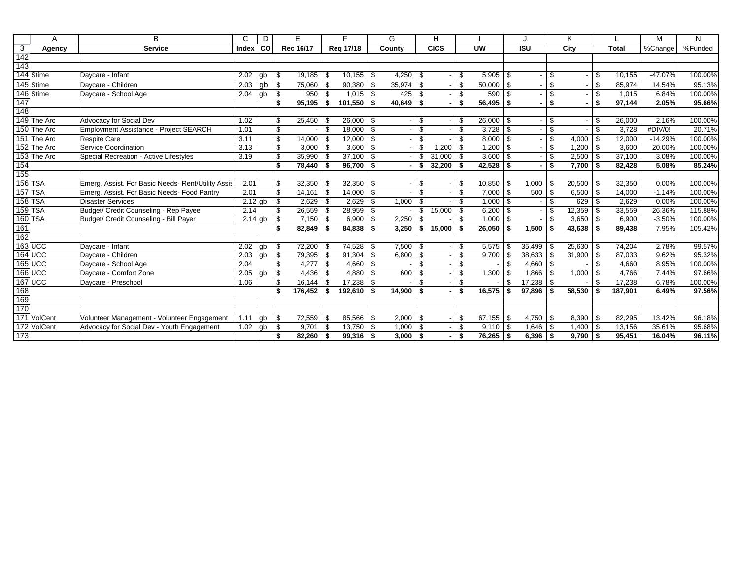|                   | A              | B                                                  | C         | D  |     | E.          |      | F           |     | G             |                | н             |      |               |              |                   |     | ĸ      |     |              | M         | N       |
|-------------------|----------------|----------------------------------------------------|-----------|----|-----|-------------|------|-------------|-----|---------------|----------------|---------------|------|---------------|--------------|-------------------|-----|--------|-----|--------------|-----------|---------|
| $\overline{3}$    | Agency         | <b>Service</b>                                     | Index     | 6  |     | Rec 16/17   |      | Reg 17/18   |     | County        |                | <b>CICS</b>   |      | <b>UW</b>     |              | $\overline{1}$ SU |     | City   |     | <b>Total</b> | %Change   | %Funded |
| $\overline{142}$  |                |                                                    |           |    |     |             |      |             |     |               |                |               |      |               |              |                   |     |        |     |              |           |         |
| 143               |                |                                                    |           |    |     |             |      |             |     |               |                |               |      |               |              |                   |     |        |     |              |           |         |
|                   | 144 Stime      | Daycare - Infant                                   | 2.02      | qb | \$. | 19,185      | - \$ | 10,155      | \$  | 4,250         | l \$           |               | \$.  | $5,905$ \$    |              |                   | -S  |        | \$. | 10,155       | $-47.07%$ | 100.00% |
|                   | 145 Stime      | Davcare - Children                                 | 2.03      | gb | \$  | 75,060      | -\$  | 90,380      | \$  | 35,974        | $\mathbf{s}$   |               | \$   | $50,000$   \$ |              |                   | \$  |        | \$  | 85,974       | 14.54%    | 95.13%  |
|                   | 146 Stime      | Daycare - School Age                               | 2.04      | gb | \$  | 950         | l \$ |             |     | 425           | l \$           |               | \$   | $590$ \$      |              |                   | \$  |        | \$  | 1.015        | 6.84%     | 100.00% |
| 147               |                |                                                    |           |    | \$  | 95,195      | - \$ | 101,550     | \$  | $40.649$ \ \$ |                |               | \$   | $56,495$ \$   |              |                   | \$  |        | \$  | 97,144       | 2.05%     | 95.66%  |
| 148               |                |                                                    |           |    |     |             |      |             |     |               |                |               |      |               |              |                   |     |        |     |              |           |         |
|                   | 149 The Arc    | Advocacy for Social Dev                            | 1.02      |    | \$. | 25,450      | l \$ | 26,000      | \$  |               | -\$            |               | \$.  | 26,000        | -\$          |                   | \$  |        | \$. | 26,000       | 2.16%     | 100.00% |
|                   | 150 The Arc    | Employment Assistance - Project SEARCH             | 1.01      |    | \$  |             | -S   | 18,000      | \$  |               | \$             |               | \$.  | $3,728$ \$    |              |                   | \$  |        | \$. | 3,728        | #DIV/0!   | 20.71%  |
|                   | 151 The Arc    | <b>Respite Care</b>                                | 3.11      |    | \$  | 14,000      | l \$ | 12,000      | \$  |               | \$             |               | \$.  | $8,000$ \ \$  |              |                   | \$  | 4,000  | \$  | 12,000       | $-14.29%$ | 100.00% |
|                   | 152 The Arc    | Service Coordination                               | 3.13      |    | \$  | 3,000       | l S  | 3.600       | \$  |               | \$             | 1,200         | \$   | $1,200$ \ \$  |              |                   | \$  | 1,200  | \$  | 3,600        | 20.00%    | 100.00% |
|                   | 153 The Arc    | Special Recreation - Active Lifestyles             | 3.19      |    | \$  | 35,990      | l \$ | 37,100      | \$  |               | \$             | $31,000$ \ \$ |      | $3,600$ \$    |              |                   | \$  | 2,500  | \$  | 37,100       | 3.08%     | 100.00% |
| $\frac{154}{155}$ |                |                                                    |           |    | \$  | 78,440      |      | 96,700      | \$  |               | \$             | 32,200        | \$   | $42,528$ \$   |              |                   | \$  | 7,700  | \$  | 82,428       | 5.08%     | 85.24%  |
|                   |                |                                                    |           |    |     |             |      |             |     |               |                |               |      |               |              |                   |     |        |     |              |           |         |
|                   | 156 TSA        | Emerg. Assist. For Basic Needs- Rent/Utility Assis | 2.01      |    | \$  | 32,350      |      | 32,350      | \$  |               | -\$            |               | \$   | 10,850        | -\$          | 1,000             | \$  | 20,500 |     | 32,350       | 0.00%     | 100.00% |
|                   | 157 TSA        | Emerg. Assist. For Basic Needs- Food Pantry        | 2.01      |    | \$  | 14,161      | l \$ | 14,000      | \$  |               | \$             |               | \$   | $7,000$ \$    |              | 500               | \$  | 6,500  | \$  | 14,000       | $-1.14%$  | 100.00% |
|                   | <b>158 TSA</b> | <b>Disaster Services</b>                           | $2.12$ gb |    | \$  | 2,629       | l \$ | 2,629       | \$  | 1,000         | <b>S</b>       |               | \$   | $1,000$ \ \$  |              |                   | \$  | 629    | \$  | 2,629        | 0.00%     | 100.00% |
|                   | 159 TSA        | Budget/ Credit Counseling - Rep Payee              | 2.14      |    | \$  | 26,559      | l \$ | 28,959      | \$  |               | \$             | 15,000        | \$   | $6,200$ \$    |              |                   | \$  | 12,359 | \$  | 33,559       | 26.36%    | 115.88% |
|                   | 160 TSA        | Budget/ Credit Counseling - Bill Payer             | $2.14$ gb |    | \$  | 7,150       | l \$ | 6,900       | \$  | 2,250         | -\$            |               | \$.  | $1,000$ \ \$  |              |                   | \$  | 3,650  | \$  | 6,900        | $-3.50%$  | 100.00% |
| 161               |                |                                                    |           |    | \$  | 82,849      | l \$ | 84,838      | \$  | 3.250         | ∣\$            | 15,000        | ∣ \$ | $26,050$ \$   |              | 1,500             | \$  | 43,638 | \$  | 89,438       | 7.95%     | 105.42% |
| $\frac{1}{162}$   |                |                                                    |           |    |     |             |      |             |     |               |                |               |      |               |              |                   |     |        |     |              |           |         |
|                   | $163$ UCC      | Davcare - Infant                                   | 2.02      | qb | \$  | 72,200      |      | 74,528      | Ŝ   | 7,500         | l \$           |               | \$   | 5,575         | -\$          | 35,499            | -96 | 25,630 |     | 74,204       | 2.78%     | 99.57%  |
|                   | $164$ UCC      | Daycare - Children                                 | 2.03      | gb | \$  | 79,395      | l \$ | 91,304      | \$  | 6,800         | $\vert$ \$     |               | \$   | $9,700$ \$    |              | 38,633            | \$  | 31,900 | -\$ | 87,033       | 9.62%     | 95.32%  |
|                   | $165$ UCC      | Daycare - School Age                               | 2.04      |    | \$  | 4,277       | l \$ | 4,660       | -\$ |               | $\mathfrak{L}$ |               | \$   |               | $\mathbf{s}$ | 4,660             | \$  |        | \$  | 4,660        | 8.95%     | 100.00% |
|                   | <b>166 UCC</b> | Daycare - Comfort Zone                             | 2.05      | qb | \$  | 4,436       | l \$ | 4,880       | \$  | 600           | l \$           |               | \$.  | 1,300         | -\$          | 1,866             | \$  | 1,000  | \$. | 4,766        | 7.44%     | 97.66%  |
|                   | 167 UCC        | Daycare - Preschool                                | 1.06      |    | \$  | 16,144      | . \$ | 17,238      | \$  |               | \$.            |               | \$.  |               | $\mathbf{s}$ | 17,238            | \$  |        | \$. | 17,238       | 6.78%     | 100.00% |
| 168               |                |                                                    |           |    | \$  | 176,452     | ∣ \$ | 192,610     | \$  | 14,900        | l \$           |               | \$   | 16,575        | \$           | 97.896            | \$  | 58,530 | \$  | 187.901      | 6.49%     | 97.56%  |
| 169               |                |                                                    |           |    |     |             |      |             |     |               |                |               |      |               |              |                   |     |        |     |              |           |         |
| 170               |                |                                                    |           |    |     |             |      |             |     |               |                |               |      |               |              |                   |     |        |     |              |           |         |
|                   | 171 VolCent    | Volunteer Management - Volunteer Engagement        | 1.11      | gb | \$  | 72,559      | - \$ | 85,566      | \$  | $2,000$ \ \$  |                |               | \$   | $67,155$ \ \$ |              | 4,750             | \$  | 8,390  | \$  | 82,295       | 13.42%    | 96.18%  |
|                   | 172 VolCent    | Advocacy for Social Dev - Youth Engagement         | 1.02      | gb | \$  | 9,701       | - \$ | 13,750      | \$  | 1,000         | l \$           |               | \$.  | $9,110$ \ \$  |              | 1,646             | \$  | 1,400  | \$  | 13,156       | 35.61%    | 95.68%  |
| 173               |                |                                                    |           |    | \$  | $82,260$ \$ |      | $99,316$ \$ |     | $3,000$ \ \$  |                |               |      | $76,265$ \$   |              | 6,396             | -\$ | 9,790  | \$  | 95,451       | 16.04%    | 96.11%  |